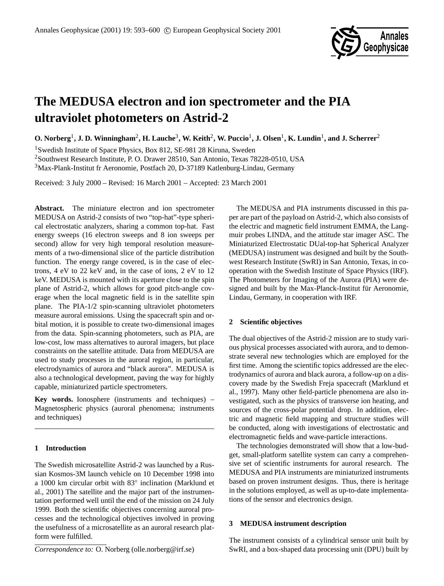

# **The MEDUSA electron and ion spectrometer and the PIA ultraviolet photometers on Astrid-2**

 $O$ . Norberg<sup>1</sup>, J. D. Winningham<sup>2</sup>, H. Lauche<sup>3</sup>, W. Keith<sup>2</sup>, W. Puccio<sup>1</sup>, J. Olsen<sup>1</sup>, K. Lundin<sup>1</sup>, and J. Scherrer<sup>2</sup>

<sup>1</sup>Swedish Institute of Space Physics, Box 812, SE-981 28 Kiruna, Sweden

<sup>2</sup>Southwest Research Institute, P. O. Drawer 28510, San Antonio, Texas 78228-0510, USA <sup>3</sup>Max-Plank-Institut fr Aeronomie, Postfach 20, D-37189 Katlenburg-Lindau, Germany

Received: 3 July 2000 – Revised: 16 March 2001 – Accepted: 23 March 2001

Abstract. The miniature electron and ion spectrometer MEDUSA on Astrid-2 consists of two "top-hat"-type spherical electrostatic analyzers, sharing a common top-hat. Fast energy sweeps (16 electron sweeps and 8 ion sweeps per second) allow for very high temporal resolution measurements of a two-dimensional slice of the particle distribution function. The energy range covered, is in the case of electrons, 4 eV to 22 keV and, in the case of ions, 2 eV to 12 keV. MEDUSA is mounted with its aperture close to the spin plane of Astrid-2, which allows for good pitch-angle coverage when the local magnetic field is in the satellite spin plane. The PIA-1/2 spin-scanning ultraviolet photometers measure auroral emissions. Using the spacecraft spin and orbital motion, it is possible to create two-dimensional images from the data. Spin-scanning photometers, such as PIA, are low-cost, low mass alternatives to auroral imagers, but place constraints on the satellite attitude. Data from MEDUSA are used to study processes in the auroral region, in particular, electrodynamics of aurora and "black aurora". MEDUSA is also a technological development, paving the way for highly capable, miniaturized particle spectrometers.

**Key words.** Ionosphere (instruments and techniques) – Magnetospheric physics (auroral phenomena; instruments and techniques)

# **1 Introduction**

The Swedish microsatellite Astrid-2 was launched by a Russian Kosmos-3M launch vehicle on 10 December 1998 into a 1000 km circular orbit with 83◦ inclination (Marklund et al., 2001) The satellite and the major part of the instrumentation performed well until the end of the mission on 24 July 1999. Both the scientific objectives concerning auroral processes and the technological objectives involved in proving the usefulness of a microsatellite as an auroral research platform were fulfilled.

The MEDUSA and PIA instruments discussed in this paper are part of the payload on Astrid-2, which also consists of the electric and magnetic field instrument EMMA, the Langmuir probes LINDA, and the attitude star imager ASC. The Miniaturized Electrostatic DUal-top-hat Spherical Analyzer (MEDUSA) instrument was designed and built by the Southwest Research Institute (SwRI) in San Antonio, Texas, in cooperation with the Swedish Institute of Space Physics (IRF). The Photometers for Imaging of the Aurora (PIA) were designed and built by the Max-Planck-Institut für Aeronomie, Lindau, Germany, in cooperation with IRF.

# **2 Scientific objectives**

The dual objectives of the Astrid-2 mission are to study various physical processes associated with aurora, and to demonstrate several new technologies which are employed for the first time. Among the scientific topics addressed are the electrodynamics of aurora and black aurora, a follow-up on a discovery made by the Swedish Freja spacecraft (Marklund et al., 1997). Many other field-particle phenomena are also investigated, such as the physics of transverse ion heating, and sources of the cross-polar potential drop. In addition, electric and magnetic field mapping and structure studies will be conducted, along with investigations of electrostatic and electromagnetic fields and wave-particle interactions.

The technologies demonstrated will show that a low-budget, small-platform satellite system can carry a comprehensive set of scientific instruments for auroral research. The MEDUSA and PIA instruments are miniaturized instruments based on proven instrument designs. Thus, there is heritage in the solutions employed, as well as up-to-date implementations of the sensor and electronics design.

## **3 MEDUSA instrument description**

The instrument consists of a cylindrical sensor unit built by SwRI, and a box-shaped data processing unit (DPU) built by

*Correspondence to:* O. Norberg (olle.norberg@irf.se)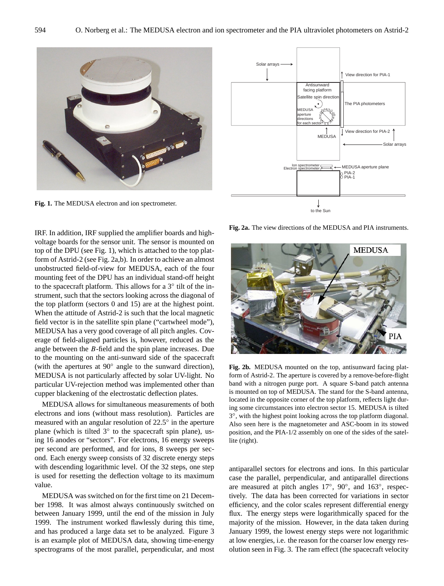

**Fig. 1.** The MEDUSA electron and ion spectrometer.

IRF. In addition, IRF supplied the amplifier boards and highvoltage boards for the sensor unit. The sensor is mounted on top of the DPU (see Fig. 1), which is attached to the top platform of Astrid-2 (see Fig. 2a,b). In order to achieve an almost unobstructed field-of-view for MEDUSA, each of the four mounting feet of the DPU has an individual stand-off height to the spacecraft platform. This allows for a 3° tilt of the instrument, such that the sectors looking across the diagonal of the top platform (sectors 0 and 15) are at the highest point. When the attitude of Astrid-2 is such that the local magnetic field vector is in the satellite spin plane ("cartwheel mode"), MEDUSA has a very good coverage of all pitch angles. Coverage of field-aligned particles is, however, reduced as the angle between the B-field and the spin plane increases. Due to the mounting on the anti-sunward side of the spacecraft (with the apertures at 90◦ angle to the sunward direction), MEDUSA is not particularly affected by solar UV-light. No particular UV-rejection method was implemented other than cupper blackening of the electrostatic deflection plates.

MEDUSA allows for simultaneous measurements of both electrons and ions (without mass resolution). Particles are measured with an angular resolution of  $22.5^\circ$  in the aperture plane (which is tilted 3° to the spacecraft spin plane), using 16 anodes or "sectors". For electrons, 16 energy sweeps per second are performed, and for ions, 8 sweeps per second. Each energy sweep consists of 32 discrete energy steps with descending logarithmic level. Of the 32 steps, one step is used for resetting the deflection voltage to its maximum value.

MEDUSA was switched on for the first time on 21 December 1998. It was almost always continuously switched on between January 1999, until the end of the mission in July 1999. The instrument worked flawlessly during this time, and has produced a large data set to be analyzed. Figure 3 is an example plot of MEDUSA data, showing time-energy spectrograms of the most parallel, perpendicular, and most



**Fig. 2a.** The view directions of the MEDUSA and PIA instruments.



**Fig. 2b.** MEDUSA mounted on the top, antisunward facing platform of Astrid-2. The aperture is covered by a remove-before-flight band with a nitrogen purge port. A square S-band patch antenna is mounted on top of MEDUSA. The stand for the S-band antenna, located in the opposite corner of the top platform, reflects light during some circumstances into electron sector 15. MEDUSA is tilted 3 ◦ , with the highest point looking across the top platform diagonal. Also seen here is the magnetometer and ASC-boom in its stowed position, and the PIA-1/2 assembly on one of the sides of the satellite (right).

antiparallel sectors for electrons and ions. In this particular case the parallel, perpendicular, and antiparallel directions are measured at pitch angles 17°, 90°, and 163°, respectively. The data has been corrected for variations in sector efficiency, and the color scales represent differential energy flux. The energy steps were logarithmically spaced for the majority of the mission. However, in the data taken during January 1999, the lowest energy steps were not logarithmic at low energies, i.e. the reason for the coarser low energy resolution seen in Fig. 3. The ram effect (the spacecraft velocity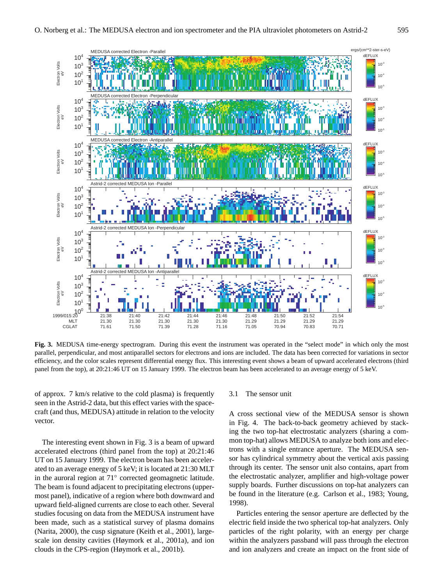

**Fig. 3.** MEDUSA time-energy spectrogram. During this event the instrument was operated in the "select mode" in which only the most parallel, perpendicular, and most antiparallel sectors for electrons and ions are included. The data has been corrected for variations in sector efficiency, and the color scales represent differential energy flux. This interesting event shows a beam of upward accelerated electrons (third panel from the top), at 20:21:46 UT on 15 January 1999. The electron beam has been accelerated to an average energy of 5 keV.

of approx. 7 km/s relative to the cold plasma) is frequently seen in the Astrid-2 data, but this effect varies with the spacecraft (and thus, MEDUSA) attitude in relation to the velocity vector.

The interesting event shown in Fig. 3 is a beam of upward accelerated electrons (third panel from the top) at 20:21:46 UT on 15 January 1999. The electron beam has been accelerated to an average energy of 5 keV; it is located at 21:30 MLT in the auroral region at 71◦ corrected geomagnetic latitude. The beam is found adjacent to precipitating electrons (uppermost panel), indicative of a region where both downward and upward field-aligned currents are close to each other. Several studies focusing on data from the MEDUSA instrument have been made, such as a statistical survey of plasma domains (Narita, 2000), the cusp signature (Keith et al., 2001), largescale ion density cavities (Høymork et al., 2001a), and ion clouds in the CPS-region (Høymork et al., 2001b).

#### 3.1 The sensor unit

A cross sectional view of the MEDUSA sensor is shown in Fig. 4. The back-to-back geometry achieved by stacking the two top-hat electrostatic analyzers (sharing a common top-hat) allows MEDUSA to analyze both ions and electrons with a single entrance aperture. The MEDUSA sensor has cylindrical symmetry about the vertical axis passing through its center. The sensor unit also contains, apart from the electrostatic analyzer, amplifier and high-voltage power supply boards. Further discussions on top-hat analyzers can be found in the literature (e.g. Carlson et al., 1983; Young, 1998).

Particles entering the sensor aperture are deflected by the electric field inside the two spherical top-hat analyzers. Only particles of the right polarity, with an energy per charge within the analyzers passband will pass through the electron and ion analyzers and create an impact on the front side of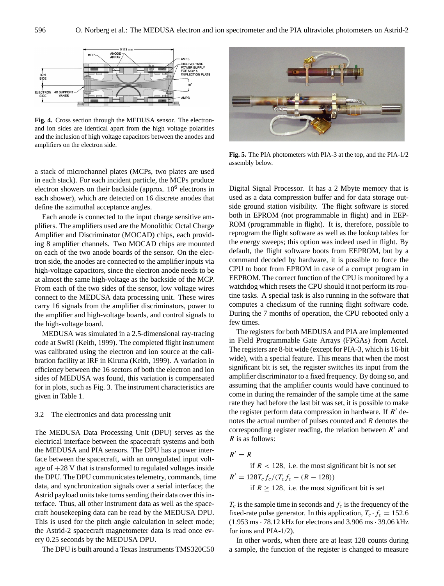

**Fig. 4.** Cross section through the MEDUSA sensor. The electronand ion sides are identical apart from the high voltage polarities and the inclusion of high voltage capacitors between the anodes and amplifiers on the electron side.

a stack of microchannel plates (MCPs, two plates are used in each stack). For each incident particle, the MCPs produce electron showers on their backside (approx. 10<sup>6</sup> electrons in each shower), which are detected on 16 discrete anodes that define the azimuthal acceptance angles.

Each anode is connected to the input charge sensitive amplifiers. The amplifiers used are the Monolithic Octal Charge Amplifier and Discriminator (MOCAD) chips, each providing 8 amplifier channels. Two MOCAD chips are mounted on each of the two anode boards of the sensor. On the electron side, the anodes are connected to the amplifier inputs via high-voltage capacitors, since the electron anode needs to be at almost the same high-voltage as the backside of the MCP. From each of the two sides of the sensor, low voltage wires connect to the MEDUSA data processing unit. These wires carry 16 signals from the amplifier discriminators, power to the amplifier and high-voltage boards, and control signals to the high-voltage board.

MEDUSA was simulated in a 2.5-dimensional ray-tracing code at SwRI (Keith, 1999). The completed flight instrument was calibrated using the electron and ion source at the calibration facility at IRF in Kiruna (Keith, 1999). A variation in efficiency between the 16 sectors of both the electron and ion sides of MEDUSA was found, this variation is compensated for in plots, such as Fig. 3. The instrument characteristics are given in Table 1.

#### 3.2 The electronics and data processing unit

The MEDUSA Data Processing Unit (DPU) serves as the electrical interface between the spacecraft systems and both the MEDUSA and PIA sensors. The DPU has a power interface between the spacecraft, with an unregulated input voltage of  $+28$  V that is transformed to regulated voltages inside the DPU. The DPU communicates telemetry, commands, time data, and synchronization signals over a serial interface; the Astrid payload units take turns sending their data over this interface. Thus, all other instrument data as well as the spacecraft housekeeping data can be read by the MEDUSA DPU. This is used for the pitch angle calculation in select mode; the Astrid-2 spacecraft magnetometer data is read once every 0.25 seconds by the MEDUSA DPU.

The DPU is built around a Texas Instruments TMS320C50



**Fig. 5.** The PIA photometers with PIA-3 at the top, and the PIA-1/2 assembly below.

Digital Signal Processor. It has a 2 Mbyte memory that is used as a data compression buffer and for data storage outside ground station visibility. The flight software is stored both in EPROM (not programmable in flight) and in EEP-ROM (programmable in flight). It is, therefore, possible to reprogram the flight software as well as the lookup tables for the energy sweeps; this option was indeed used in flight. By default, the flight software boots from EEPROM, but by a command decoded by hardware, it is possible to force the CPU to boot from EPROM in case of a corrupt program in EEPROM. The correct function of the CPU is monitored by a watchdog which resets the CPU should it not perform its routine tasks. A special task is also running in the software that computes a checksum of the running flight software code. During the 7 months of operation, the CPU rebooted only a few times.

The registers for both MEDUSA and PIA are implemented in Field Programmable Gate Arrays (FPGAs) from Actel. The registers are 8-bit wide (except for PIA-3, which is 16-bit wide), with a special feature. This means that when the most significant bit is set, the register switches its input from the amplifier discriminator to a fixed frequency. By doing so, and assuming that the amplifier counts would have continued to come in during the remainder of the sample time at the same rate they had before the last bit was set, it is possible to make the register perform data compression in hardware. If  $R'$  denotes the actual number of pulses counted and R denotes the corresponding register reading, the relation between  $R'$  and  $R$  is as follows:

# $R' = R$

if  $R < 128$ , i.e. the most significant bit is not set  $R' = 128T_c f_c/(T_c f_c - (R - 128))$ if  $R \ge 128$ , i.e. the most significant bit is set

 $T_c$  is the sample time in seconds and  $f_c$  is the frequency of the fixed-rate pulse generator. In this application,  $T_c \cdot f_c = 152.6$ (1.953 ms · 78.12 kHz for electrons and 3.906 ms · 39.06 kHz for ions and PIA-1/2).

In other words, when there are at least 128 counts during a sample, the function of the register is changed to measure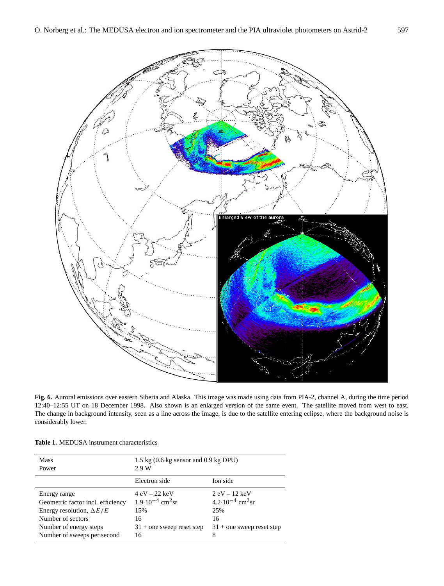

**Fig. 6.** Auroral emissions over eastern Siberia and Alaska. This image was made using data from PIA-2, channel A, during the time period 12:40–12:55 UT on 18 December 1998. Also shown is an enlarged version of the same event. The satellite moved from west to east. The change in background intensity, seen as a line across the image, is due to the satellite entering eclipse, where the background noise is considerably lower.

| <b>Mass</b><br>Power              | $1.5 \text{ kg}$ (0.6 kg sensor and 0.9 kg DPU)<br>2.9W |                                        |
|-----------------------------------|---------------------------------------------------------|----------------------------------------|
|                                   | Electron side                                           | Ion side                               |
| Energy range                      | $4 eV - 22 keV$                                         | $2 eV - 12 keV$                        |
| Geometric factor incl. efficiency | $1.9 \cdot 10^{-4}$ cm <sup>2</sup> sr                  | $4.2 \cdot 10^{-4}$ cm <sup>2</sup> sr |
| Energy resolution, $\Delta E/E$   | 15%                                                     | 25%                                    |
| Number of sectors                 | 16                                                      | 16                                     |
| Number of energy steps            | $31 +$ one sweep reset step                             | $31 +$ one sweep reset step            |
| Number of sweeps per second       | 16                                                      | 8                                      |

| <b>Table 1.</b> MEDUSA instrument characteristics |  |
|---------------------------------------------------|--|
|---------------------------------------------------|--|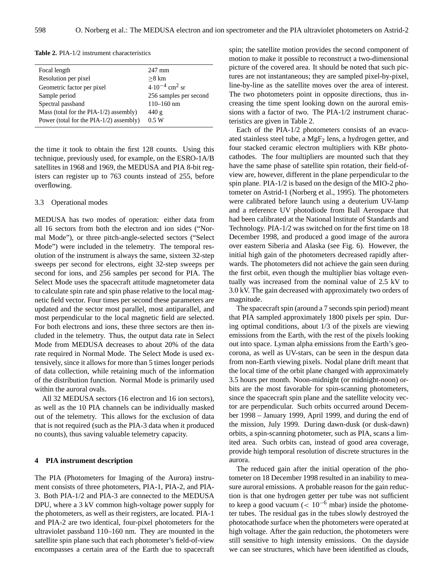| Focal length                              | $247$ mm                       |
|-------------------------------------------|--------------------------------|
| Resolution per pixel                      | $>8$ km                        |
| Geometric factor per pixel                | $4.10^{-4}$ cm <sup>2</sup> sr |
| Sample period                             | 256 samples per second         |
| Spectral passband                         | $110 - 160$ nm                 |
| Mass (total for the $PIA-1/2$ ) assembly) | 440 g                          |
| Power (total for the PIA-1/2) assembly)   | 0.5 W                          |
|                                           |                                |

**Table 2.** PIA-1/2 instrument characteristics

the time it took to obtain the first 128 counts. Using this technique, previously used, for example, on the ESRO-1A/B satellites in 1968 and 1969, the MEDUSA and PIA 8-bit registers can register up to 763 counts instead of 255, before overflowing.

#### 3.3 Operational modes

MEDUSA has two modes of operation: either data from all 16 sectors from both the electron and ion sides ("Normal Mode"), or three pitch-angle-selected sectors ("Select Mode") were included in the telemetry. The temporal resolution of the instrument is always the same, sixteen 32-step sweeps per second for electrons, eight 32-step sweeps per second for ions, and 256 samples per second for PIA. The Select Mode uses the spacecraft attitude magnetometer data to calculate spin rate and spin phase relative to the local magnetic field vector. Four times per second these parameters are updated and the sector most parallel, most antiparallel, and most perpendicular to the local magnetic field are selected. For both electrons and ions, these three sectors are then included in the telemetry. Thus, the output data rate in Select Mode from MEDUSA decreases to about 20% of the data rate required in Normal Mode. The Select Mode is used extensively, since it allows for more than 5 times longer periods of data collection, while retaining much of the information of the distribution function. Normal Mode is primarily used within the auroral ovals.

All 32 MEDUSA sectors (16 electron and 16 ion sectors), as well as the 10 PIA channels can be individually masked out of the telemetry. This allows for the exclusion of data that is not required (such as the PIA-3 data when it produced no counts), thus saving valuable telemetry capacity.

#### **4 PIA instrument description**

The PIA (Photometers for Imaging of the Aurora) instrument consists of three photometers, PIA-1, PIA-2, and PIA-3. Both PIA-1/2 and PIA-3 are connected to the MEDUSA DPU, where a 3 kV common high-voltage power supply for the photometers, as well as their registers, are located. PIA-1 and PIA-2 are two identical, four-pixel photometers for the ultraviolet passband 110–160 nm. They are mounted in the satellite spin plane such that each photometer's field-of-view encompasses a certain area of the Earth due to spacecraft spin; the satellite motion provides the second component of motion to make it possible to reconstruct a two-dimensional picture of the covered area. It should be noted that such pictures are not instantaneous; they are sampled pixel-by-pixel, line-by-line as the satellite moves over the area of interest. The two photometers point in opposite directions, thus increasing the time spent looking down on the auroral emissions with a factor of two. The PIA-1/2 instrument characteristics are given in Table 2.

Each of the PIA-1/2 photometers consists of an evacuated stainless steel tube, a  $MgF_2$  lens, a hydrogen getter, and four stacked ceramic electron multipliers with KBr photocathodes. The four multipliers are mounted such that they have the same phase of satellite spin rotation, their field-ofview are, however, different in the plane perpendicular to the spin plane. PIA-1/2 is based on the design of the MIO-2 photometer on Astrid-1 (Norberg et al., 1995). The photometers were calibrated before launch using a deuterium UV-lamp and a reference UV photodiode from Ball Aerospace that had been calibrated at the National Institute of Standards and Technology. PIA-1/2 was switched on for the first time on 18 December 1998, and produced a good image of the aurora over eastern Siberia and Alaska (see Fig. 6). However, the initial high gain of the photometers decreased rapidly afterwards. The photometers did not achieve the gain seen during the first orbit, even though the multiplier bias voltage eventually was increased from the nominal value of 2.5 kV to 3.0 kV. The gain decreased with approximately two orders of magnitude.

The spacecraft spin (around a 7 seconds spin period) meant that PIA sampled approximately 1800 pixels per spin. During optimal conditions, about 1/3 of the pixels are viewing emissions from the Earth, with the rest of the pixels looking out into space. Lyman alpha emissions from the Earth's geocorona, as well as UV-stars, can be seen in the despun data from non-Earth viewing pixels. Nodal plane drift meant that the local time of the orbit plane changed with approximately 3.5 hours per month. Noon-midnight (or midnight-noon) orbits are the most favorable for spin-scanning photometers, since the spacecraft spin plane and the satellite velocity vector are perpendicular. Such orbits occurred around December 1998 – January 1999, April 1999, and during the end of the mission, July 1999. During dawn-dusk (or dusk-dawn) orbits, a spin-scanning photometer, such as PIA, scans a limited area. Such orbits can, instead of good area coverage, provide high temporal resolution of discrete structures in the aurora.

The reduced gain after the initial operation of the photometer on 18 December 1998 resulted in an inability to measure auroral emissions. A probable reason for the gain reduction is that one hydrogen getter per tube was not sufficient to keep a good vacuum (<  $10^{-6}$  mbar) inside the photometer tubes. The residual gas in the tubes slowly destroyed the photocathode surface when the photometers were operated at high voltage. After the gain reduction, the photometers were still sensitive to high intensity emissions. On the dayside we can see structures, which have been identified as clouds,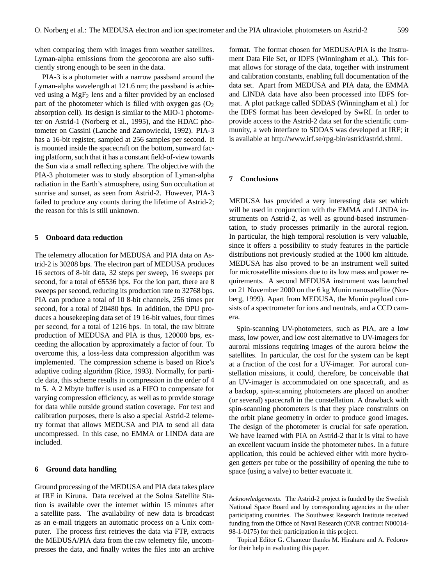when comparing them with images from weather satellites. Lyman-alpha emissions from the geocorona are also sufficiently strong enough to be seen in the data.

PIA-3 is a photometer with a narrow passband around the Lyman-alpha wavelength at 121.6 nm; the passband is achieved using a  $MgF_2$  lens and a filter provided by an enclosed part of the photometer which is filled with oxygen gas  $(O<sub>2</sub>)$ absorption cell). Its design is similar to the MIO-1 photometer on Astrid-1 (Norberg et al., 1995), and the HDAC photometer on Cassini (Lauche and Zarnowiecki, 1992). PIA-3 has a 16-bit register, sampled at 256 samples per second. It is mounted inside the spacecraft on the bottom, sunward facing platform, such that it has a constant field-of-view towards the Sun via a small reflecting sphere. The objective with the PIA-3 photometer was to study absorption of Lyman-alpha radiation in the Earth's atmosphere, using Sun occultation at sunrise and sunset, as seen from Astrid-2. However, PIA-3 failed to produce any counts during the lifetime of Astrid-2; the reason for this is still unknown.

## **5 Onboard data reduction**

The telemetry allocation for MEDUSA and PIA data on Astrid-2 is 30208 bps. The electron part of MEDUSA produces 16 sectors of 8-bit data, 32 steps per sweep, 16 sweeps per second, for a total of 65536 bps. For the ion part, there are 8 sweeps per second, reducing its production rate to 32768 bps. PIA can produce a total of 10 8-bit channels, 256 times per second, for a total of 20480 bps. In addition, the DPU produces a housekeeping data set of 19 16-bit values, four times per second, for a total of 1216 bps. In total, the raw bitrate production of MEDUSA and PIA is thus, 120000 bps, exceeding the allocation by approximately a factor of four. To overcome this, a loss-less data compression algorithm was implemented. The compression scheme is based on Rice's adaptive coding algorithm (Rice, 1993). Normally, for particle data, this scheme results in compression in the order of 4 to 5. A 2 Mbyte buffer is used as a FIFO to compensate for varying compression efficiency, as well as to provide storage for data while outside ground station coverage. For test and calibration purposes, there is also a special Astrid-2 telemetry format that allows MEDUSA and PIA to send all data uncompressed. In this case, no EMMA or LINDA data are included.

#### **6 Ground data handling**

Ground processing of the MEDUSA and PIA data takes place at IRF in Kiruna. Data received at the Solna Satellite Station is available over the internet within 15 minutes after a satellite pass. The availability of new data is broadcast as an e-mail triggers an automatic process on a Unix computer. The process first retrieves the data via FTP, extracts the MEDUSA/PIA data from the raw telemetry file, uncompresses the data, and finally writes the files into an archive format. The format chosen for MEDUSA/PIA is the Instrument Data File Set, or IDFS (Winningham et al.). This format allows for storage of the data, together with instrument and calibration constants, enabling full documentation of the data set. Apart from MEDUSA and PIA data, the EMMA and LINDA data have also been processed into IDFS format. A plot package called SDDAS (Winningham et al.) for the IDFS format has been developed by SwRI. In order to provide access to the Astrid-2 data set for the scientific community, a web interface to SDDAS was developed at IRF; it is available at http://www.irf.se/rpg-bin/astrid/astrid.shtml.

#### **7 Conclusions**

MEDUSA has provided a very interesting data set which will be used in conjunction with the EMMA and LINDA instruments on Astrid-2, as well as ground-based instrumentation, to study processes primarily in the auroral region. In particular, the high temporal resolution is very valuable, since it offers a possibility to study features in the particle distributions not previously studied at the 1000 km altitude. MEDUSA has also proved to be an instrument well suited for microsatellite missions due to its low mass and power requirements. A second MEDUSA instrument was launched on 21 November 2000 on the 6 kg Munin nanosatellite (Norberg, 1999). Apart from MEDUSA, the Munin payload consists of a spectrometer for ions and neutrals, and a CCD camera.

Spin-scanning UV-photometers, such as PIA, are a low mass, low power, and low cost alternative to UV-imagers for auroral missions requiring images of the aurora below the satellites. In particular, the cost for the system can be kept at a fraction of the cost for a UV-imager. For auroral constellation missions, it could, therefore, be conceivable that an UV-imager is accommodated on one spacecraft, and as a backup, spin-scanning photometers are placed on another (or several) spacecraft in the constellation. A drawback with spin-scanning photometers is that they place constraints on the orbit plane geometry in order to produce good images. The design of the photometer is crucial for safe operation. We have learned with PIA on Astrid-2 that it is vital to have an excellent vacuum inside the photometer tubes. In a future application, this could be achieved either with more hydrogen getters per tube or the possibility of opening the tube to space (using a valve) to better evacuate it.

*Acknowledgements.* The Astrid-2 project is funded by the Swedish National Space Board and by corresponding agencies in the other participating countries. The Southwest Research Institute received funding from the Office of Naval Research (ONR contract N00014- 98-1-0175) for their participation in this project.

Topical Editor G. Chanteur thanks M. Hirahara and A. Fedorov for their help in evaluating this paper.